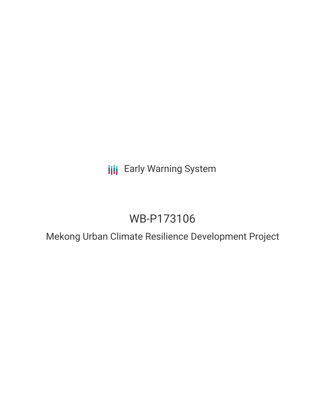## **III** Early Warning System

# WB-P173106

Mekong Urban Climate Resilience Development Project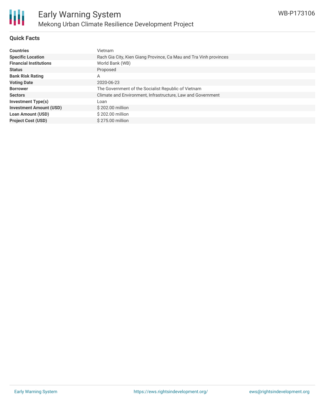

#### **Quick Facts**

| <b>Countries</b>               | Vietnam                                                           |
|--------------------------------|-------------------------------------------------------------------|
| <b>Specific Location</b>       | Rach Gia City, Kien Giang Province, Ca Mau and Tra Vinh provinces |
| <b>Financial Institutions</b>  | World Bank (WB)                                                   |
| <b>Status</b>                  | Proposed                                                          |
| <b>Bank Risk Rating</b>        | A                                                                 |
| <b>Voting Date</b>             | 2020-06-23                                                        |
| <b>Borrower</b>                | The Government of the Socialist Republic of Vietnam               |
| <b>Sectors</b>                 | Climate and Environment, Infrastructure, Law and Government       |
| <b>Investment Type(s)</b>      | Loan                                                              |
| <b>Investment Amount (USD)</b> | \$202.00 million                                                  |
| <b>Loan Amount (USD)</b>       | \$202.00 million                                                  |
| <b>Project Cost (USD)</b>      | \$275.00 million                                                  |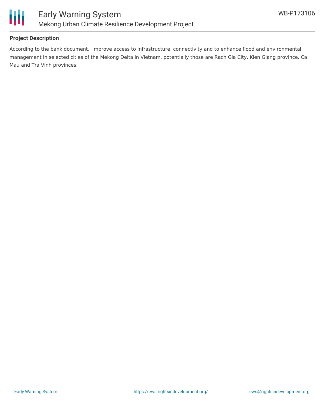

#### **Project Description**

According to the bank document, improve access to infrastructure, connectivity and to enhance flood and environmental management in selected cities of the Mekong Delta in Vietnam, potentially those are Rach Gia City, Kien Giang province, Ca Mau and Tra Vinh provinces.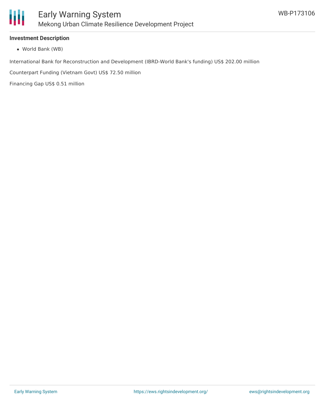

#### **Investment Description**

World Bank (WB)

International Bank for Reconstruction and Development (IBRD-World Bank's funding) US\$ 202.00 million

Counterpart Funding (Vietnam Govt) US\$ 72.50 million

Financing Gap US\$ 0.51 million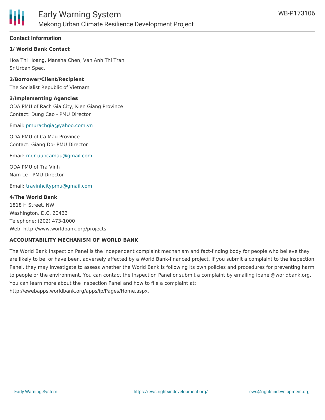

#### **Contact Information**

#### **1/ World Bank Contact**

Hoa Thi Hoang, Mansha Chen, Van Anh Thi Tran Sr Urban Spec.

**2/Borrower/Client/Recipient** The Socialist Republic of Vietnam

**3/Implementing Agencies** ODA PMU of Rach Gia City, Kien Giang Province Contact: Dung Cao - PMU Director

Email: [pmurachgia@yahoo.com.vn](mailto:pmurachgia@yahoo.com.vn)

ODA PMU of Ca Mau Province Contact: Giang Do- PMU Director

Email: [mdr.uupcamau@gmail.com](mailto:mdr.uupcamau@gmail.com)

ODA PMU of Tra Vinh Nam Le - PMU Director

Email: [travinhcitypmu@gmail.com](mailto:travinhcitypmu@gmail.com)

#### **4/The World Bank**

1818 H Street, NW Washington, D.C. 20433 Telephone: (202) 473-1000 Web: http://www.worldbank.org/projects

#### **ACCOUNTABILITY MECHANISM OF WORLD BANK**

The World Bank Inspection Panel is the independent complaint mechanism and fact-finding body for people who believe they are likely to be, or have been, adversely affected by a World Bank-financed project. If you submit a complaint to the Inspection Panel, they may investigate to assess whether the World Bank is following its own policies and procedures for preventing harm to people or the environment. You can contact the Inspection Panel or submit a complaint by emailing ipanel@worldbank.org. You can learn more about the Inspection Panel and how to file a complaint at: http://ewebapps.worldbank.org/apps/ip/Pages/Home.aspx.